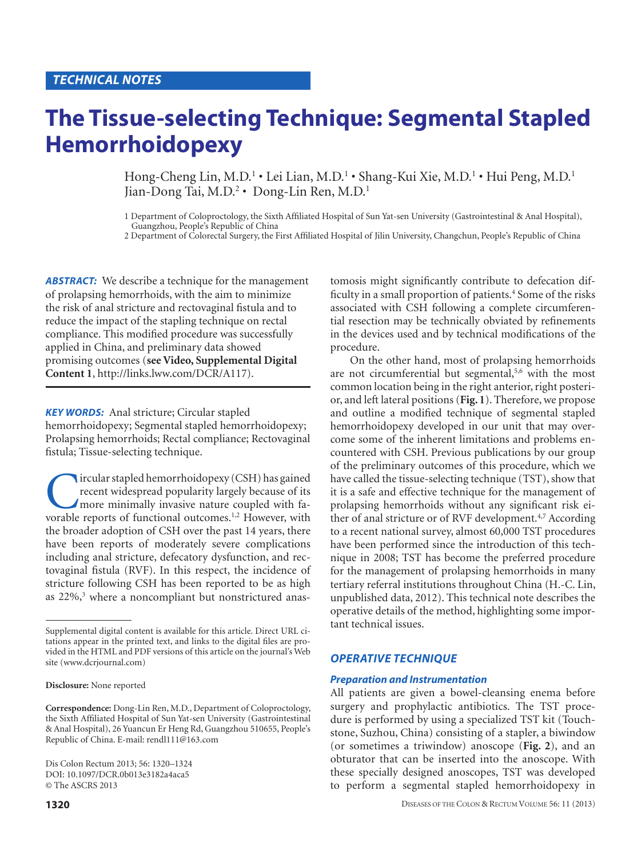# **The Tissue-selecting Technique: Segmental Stapled Hemorrhoidopexy**

Hong-Cheng Lin, M.D.<sup>1</sup> • Lei Lian, M.D.<sup>1</sup> • Shang-Kui Xie, M.D.<sup>1</sup> • Hui Peng, M.D.<sup>1</sup> Jian-Dong Tai, M.D.<sup>2</sup> · Dong-Lin Ren, M.D.<sup>1</sup>

1 Department of Coloproctology, the Sixth Affiliated Hospital of Sun Yat-sen University (Gastrointestinal & Anal Hospital), Guangzhou, People's Republic of China

2 Department of Colorectal Surgery, the First Affiliated Hospital of Jilin University, Changchun, People's Republic of China

**ABSTRACT:** We describe a technique for the management of prolapsing hemorrhoids, with the aim to minimize the risk of anal stricture and rectovaginal fistula and to reduce the impact of the stapling technique on rectal compliance. This modified procedure was successfully applied in China, and preliminary data showed promising outcomes (**see Video, Supplemental Digital Content 1**, <http://links.lww.com/DCR/A117>).

*KEY WORDS:* Anal stricture; Circular stapled hemorrhoidopexy; Segmental stapled hemorrhoidopexy; Prolapsing hemorrhoids; Rectal compliance; Rectovaginal fistula; Tissue-selecting technique.

**C**ircular stapled hemorrhoidopexy (CSH) has gained<br>recent widespread popularity largely because of its<br>more minimally invasive nature coupled with fa-<br>vorable reports of functional outcomes <sup>1,2</sup> However, with recent widespread popularity largely because of its more minimally invasive nature coupled with favorable reports of functional outcomes.<sup>1,2</sup> However, with the broader adoption of CSH over the past 14 years, there have been reports of moderately severe complications including anal stricture, defecatory dysfunction, and rectovaginal fistula (RVF). In this respect, the incidence of stricture following CSH has been reported to be as high as 22%,<sup>3</sup> where a noncompliant but nonstrictured anastomosis might significantly contribute to defecation difficulty in a small proportion of patients.<sup>4</sup> Some of the risks associated with CSH following a complete circumferential resection may be technically obviated by refinements in the devices used and by technical modifications of the procedure.

On the other hand, most of prolapsing hemorrhoids are not circumferential but segmental,<sup>5,6</sup> with the most common location being in the right anterior, right posterior, and left lateral positions (**Fig. 1**). Therefore, we propose and outline a modified technique of segmental stapled hemorrhoidopexy developed in our unit that may overcome some of the inherent limitations and problems encountered with CSH. Previous publications by our group of the preliminary outcomes of this procedure, which we have called the tissue-selecting technique (TST), show that it is a safe and effective technique for the management of prolapsing hemorrhoids without any significant risk either of anal stricture or of RVF development.<sup>4,7</sup> According to a recent national survey, almost 60,000 TST procedures have been performed since the introduction of this technique in 2008; TST has become the preferred procedure for the management of prolapsing hemorrhoids in many tertiary referral institutions throughout China (H.-C. Lin, unpublished data, 2012). This technical note describes the operative details of the method, highlighting some important technical issues.

# *OPERATIVE TECHNIQUE*

#### *Preparation and Instrumentation*

All patients are given a bowel-cleansing enema before surgery and prophylactic antibiotics. The TST procedure is performed by using a specialized TST kit (Touchstone, Suzhou, China) consisting of a stapler, a biwindow (or sometimes a triwindow) anoscope (**Fig. 2**), and an obturator that can be inserted into the anoscope. With these specially designed anoscopes, TST was developed to perform a segmental stapled hemorrhoidopexy in

Supplemental digital content is available for this article. Direct URL citations appear in the printed text, and links to the digital files are provided in the HTML and PDF versions of this article on the journal's Web site ([www.dcrjournal.com\)](http://www.dcrjournal.com)

**Disclosure:** None reported

**Correspondence:** Dong-Lin Ren, M.D., Department of Coloproctology, the Sixth Affiliated Hospital of Sun Yat-sen University (Gastrointestinal & Anal Hospital), 26 Yuancun Er Heng Rd, Guangzhou 510655, People's Republic of China. E-mail: [rendl111@163.com](mailto:rendl111@163.com)

Dis Colon Rectum 2013; 56: 1320–1324 DOI: 10.1097/DCR.0b013e3182a4aca5 © The ASCRS 2013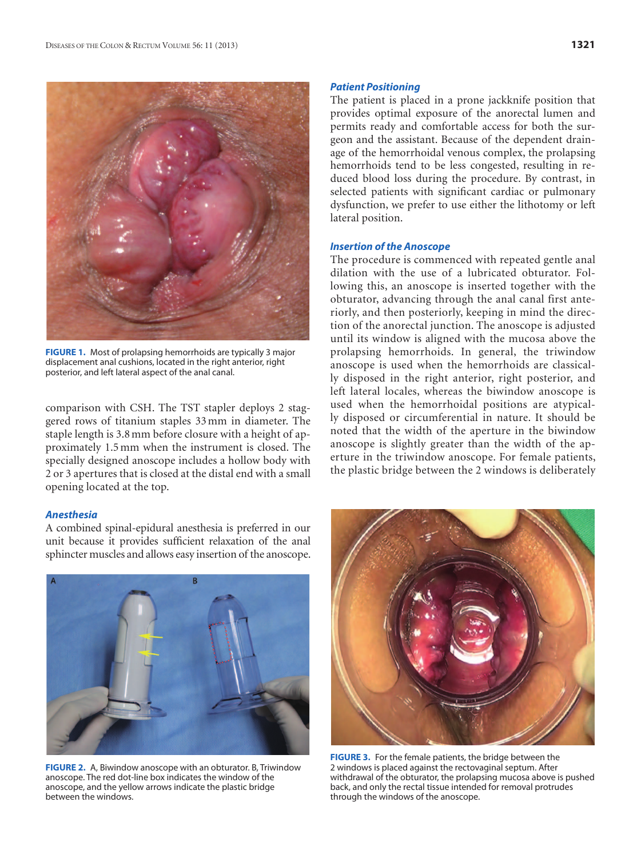

**FIGURE 1.** Most of prolapsing hemorrhoids are typically 3 major displacement anal cushions, located in the right anterior, right posterior, and left lateral aspect of the anal canal.

comparison with CSH. The TST stapler deploys 2 staggered rows of titanium staples 33mm in diameter. The staple length is 3.8mm before closure with a height of approximately 1.5mm when the instrument is closed. The specially designed anoscope includes a hollow body with 2 or 3 apertures that is closed at the distal end with a small opening located at the top.

#### *Anesthesia*

A combined spinal-epidural anesthesia is preferred in our unit because it provides sufficient relaxation of the anal sphincter muscles and allows easy insertion of the anoscope.



**FIGURE 2.** A, Biwindow anoscope with an obturator. B, Triwindow anoscope. The red dot-line box indicates the window of the anoscope, and the yellow arrows indicate the plastic bridge between the windows.

#### *Patient Positioning*

The patient is placed in a prone jackknife position that provides optimal exposure of the anorectal lumen and permits ready and comfortable access for both the surgeon and the assistant. Because of the dependent drainage of the hemorrhoidal venous complex, the prolapsing hemorrhoids tend to be less congested, resulting in reduced blood loss during the procedure. By contrast, in selected patients with significant cardiac or pulmonary dysfunction, we prefer to use either the lithotomy or left lateral position.

## *Insertion of the Anoscope*

The procedure is commenced with repeated gentle anal dilation with the use of a lubricated obturator. Following this, an anoscope is inserted together with the obturator, advancing through the anal canal first anteriorly, and then posteriorly, keeping in mind the direction of the anorectal junction. The anoscope is adjusted until its window is aligned with the mucosa above the prolapsing hemorrhoids. In general, the triwindow anoscope is used when the hemorrhoids are classically disposed in the right anterior, right posterior, and left lateral locales, whereas the biwindow anoscope is used when the hemorrhoidal positions are atypically disposed or circumferential in nature. It should be noted that the width of the aperture in the biwindow anoscope is slightly greater than the width of the aperture in the triwindow anoscope. For female patients, the plastic bridge between the 2 windows is deliberately



**FIGURE 3.** For the female patients, the bridge between the 2 windows is placed against the rectovaginal septum. After withdrawal of the obturator, the prolapsing mucosa above is pushed back, and only the rectal tissue intended for removal protrudes through the windows of the anoscope.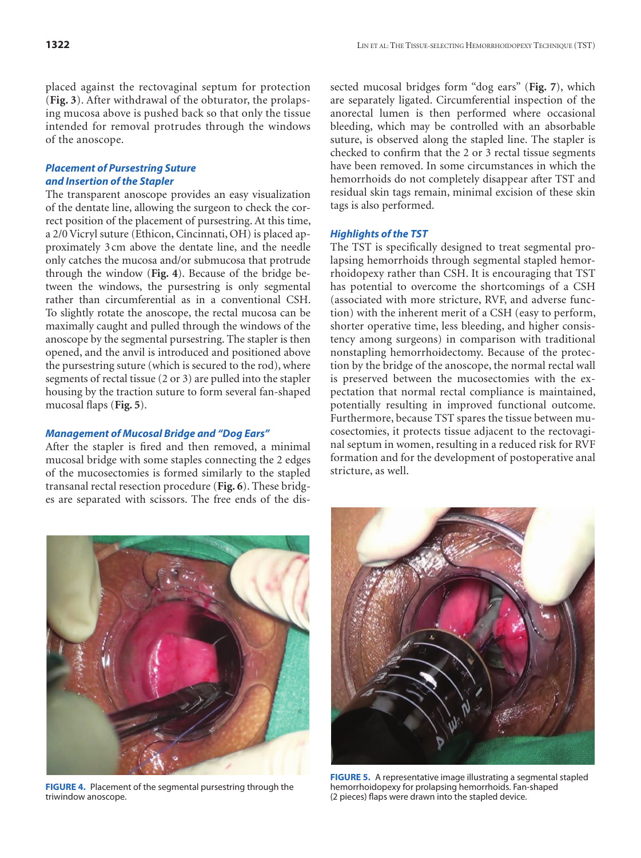placed against the rectovaginal septum for protection (**Fig. 3**). After withdrawal of the obturator, the prolapsing mucosa above is pushed back so that only the tissue intended for removal protrudes through the windows of the anoscope.

## *Placement of Pursestring Suture and Insertion of the Stapler*

The transparent anoscope provides an easy visualization of the dentate line, allowing the surgeon to check the correct position of the placement of pursestring. At this time, a 2/0 Vicryl suture (Ethicon, Cincinnati, OH) is placed approximately 3 cm above the dentate line, and the needle only catches the mucosa and/or submucosa that protrude through the window (**Fig. 4**). Because of the bridge between the windows, the pursestring is only segmental rather than circumferential as in a conventional CSH. To slightly rotate the anoscope, the rectal mucosa can be maximally caught and pulled through the windows of the anoscope by the segmental pursestring. The stapler is then opened, and the anvil is introduced and positioned above the pursestring suture (which is secured to the rod), where segments of rectal tissue (2 or 3) are pulled into the stapler housing by the traction suture to form several fan-shaped mucosal flaps (**Fig. 5**).

## *Management of Mucosal Bridge and "Dog Ears"*

After the stapler is fired and then removed, a minimal mucosal bridge with some staples connecting the 2 edges of the mucosectomies is formed similarly to the stapled transanal rectal resection procedure (**Fig. 6**). These bridges are separated with scissors. The free ends of the dis-



#### *Highlights of the TST*

The TST is specifically designed to treat segmental prolapsing hemorrhoids through segmental stapled hemorrhoidopexy rather than CSH. It is encouraging that TST has potential to overcome the shortcomings of a CSH (associated with more stricture, RVF, and adverse function) with the inherent merit of a CSH (easy to perform, shorter operative time, less bleeding, and higher consistency among surgeons) in comparison with traditional nonstapling hemorrhoidectomy. Because of the protection by the bridge of the anoscope, the normal rectal wall is preserved between the mucosectomies with the expectation that normal rectal compliance is maintained, potentially resulting in improved functional outcome. Furthermore, because TST spares the tissue between mucosectomies, it protects tissue adjacent to the rectovaginal septum in women, resulting in a reduced risk for RVF formation and for the development of postoperative anal stricture, as well.



**FIGURE 4.** Placement of the segmental pursestring through the triwindow anoscope.



**FIGURE 5.** A representative image illustrating a segmental stapled hemorrhoidopexy for prolapsing hemorrhoids. Fan-shaped (2 pieces) flaps were drawn into the stapled device.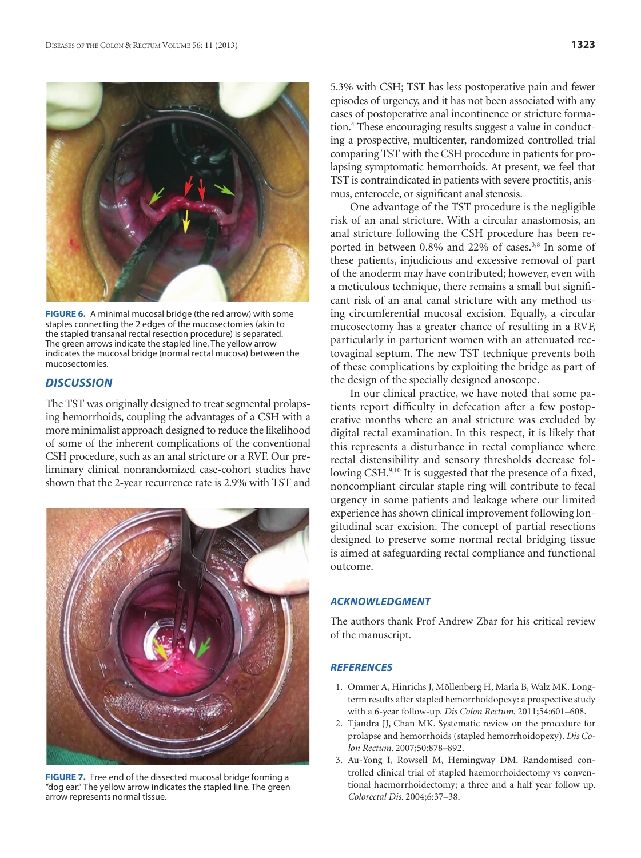

**FIGURE 6.** A minimal mucosal bridge (the red arrow) with some staples connecting the 2 edges of the mucosectomies (akin to the stapled transanal rectal resection procedure) is separated. The green arrows indicate the stapled line. The yellow arrow indicates the mucosal bridge (normal rectal mucosa) between the mucosectomies.

# *DISCUSSION*

The TST was originally designed to treat segmental prolapsing hemorrhoids, coupling the advantages of a CSH with a more minimalist approach designed to reduce the likelihood of some of the inherent complications of the conventional CSH procedure, such as an anal stricture or a RVF. Our preliminary clinical nonrandomized case-cohort studies have shown that the 2-year recurrence rate is 2.9% with TST and



**FIGURE 7.** Free end of the dissected mucosal bridge forming a "dog ear." The yellow arrow indicates the stapled line. The green arrow represents normal tissue.

5.3% with CSH; TST has less postoperative pain and fewer episodes of urgency, and it has not been associated with any cases of postoperative anal incontinence or stricture formation.<sup>4</sup> These encouraging results suggest a value in conducting a prospective, multicenter, randomized controlled trial comparing TST with the CSH procedure in patients for prolapsing symptomatic hemorrhoids. At present, we feel that TST is contraindicated in patients with severe proctitis, anismus, enterocele, or significant anal stenosis.

One advantage of the TST procedure is the negligible risk of an anal stricture. With a circular anastomosis, an anal stricture following the CSH procedure has been reported in between 0.8% and 22% of cases.<sup>3,8</sup> In some of these patients, injudicious and excessive removal of part of the anoderm may have contributed; however, even with a meticulous technique, there remains a small but significant risk of an anal canal stricture with any method using circumferential mucosal excision. Equally, a circular mucosectomy has a greater chance of resulting in a RVF, particularly in parturient women with an attenuated rectovaginal septum. The new TST technique prevents both of these complications by exploiting the bridge as part of the design of the specially designed anoscope.

In our clinical practice, we have noted that some patients report difficulty in defecation after a few postoperative months where an anal stricture was excluded by digital rectal examination. In this respect, it is likely that this represents a disturbance in rectal compliance where rectal distensibility and sensory thresholds decrease following CSH.<sup>9,10</sup> It is suggested that the presence of a fixed, noncompliant circular staple ring will contribute to fecal urgency in some patients and leakage where our limited experience has shown clinical improvement following longitudinal scar excision. The concept of partial resections designed to preserve some normal rectal bridging tissue is aimed at safeguarding rectal compliance and functional outcome.

## *ACKNOWLEDGMENT*

The authors thank Prof Andrew Zbar for his critical review of the manuscript.

# *REFERENCES*

- 1. Ommer A, Hinrichs J, Möllenberg H, Marla B, Walz MK. Longterm results after stapled hemorrhoidopexy: a prospective study with a 6-year follow-up. *Dis Colon Rectum*. 2011;54:601–608.
- 2. Tjandra JJ, Chan MK. Systematic review on the procedure for prolapse and hemorrhoids (stapled hemorrhoidopexy). *Dis Colon Rectum*. 2007;50:878–892.
- 3. Au-Yong I, Rowsell M, Hemingway DM. Randomised controlled clinical trial of stapled haemorrhoidectomy vs conventional haemorrhoidectomy; a three and a half year follow up. *Colorectal Dis*. 2004;6:37–38.